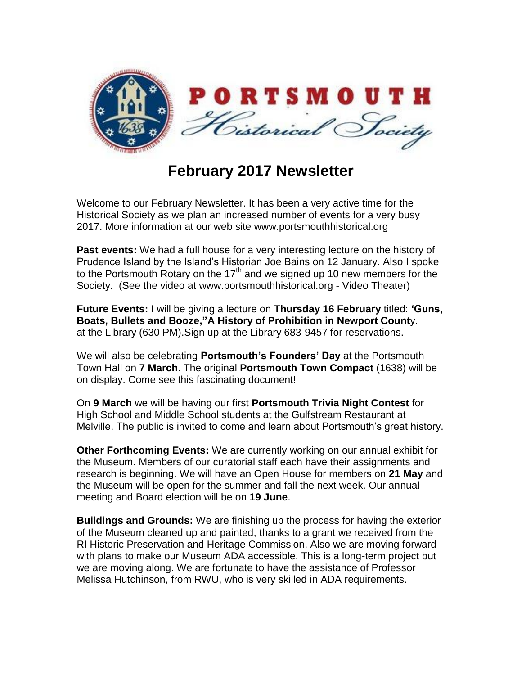

## **February 2017 Newsletter**

Welcome to our February Newsletter. It has been a very active time for the Historical Society as we plan an increased number of events for a very busy 2017. More information at our web site www.portsmouthhistorical.org

**Past events:** We had a full house for a very interesting lecture on the history of Prudence Island by the Island's Historian Joe Bains on 12 January. Also I spoke to the Portsmouth Rotary on the 17<sup>th</sup> and we signed up 10 new members for the Society. (See the video at www.portsmouthhistorical.org - Video Theater)

**Future Events:** I will be giving a lecture on **Thursday 16 February** titled: **'Guns, Boats, Bullets and Booze,"A History of Prohibition in Newport Count**y. at the Library (630 PM).Sign up at the Library 683-9457 for reservations.

We will also be celebrating **Portsmouth's Founders' Day** at the Portsmouth Town Hall on **7 March**. The original **Portsmouth Town Compact** (1638) will be on display. Come see this fascinating document!

On **9 March** we will be having our first **Portsmouth Trivia Night Contest** for High School and Middle School students at the Gulfstream Restaurant at Melville. The public is invited to come and learn about Portsmouth's great history.

**Other Forthcoming Events:** We are currently working on our annual exhibit for the Museum. Members of our curatorial staff each have their assignments and research is beginning. We will have an Open House for members on **21 May** and the Museum will be open for the summer and fall the next week. Our annual meeting and Board election will be on **19 June**.

**Buildings and Grounds:** We are finishing up the process for having the exterior of the Museum cleaned up and painted, thanks to a grant we received from the RI Historic Preservation and Heritage Commission. Also we are moving forward with plans to make our Museum ADA accessible. This is a long-term project but we are moving along. We are fortunate to have the assistance of Professor Melissa Hutchinson, from RWU, who is very skilled in ADA requirements.